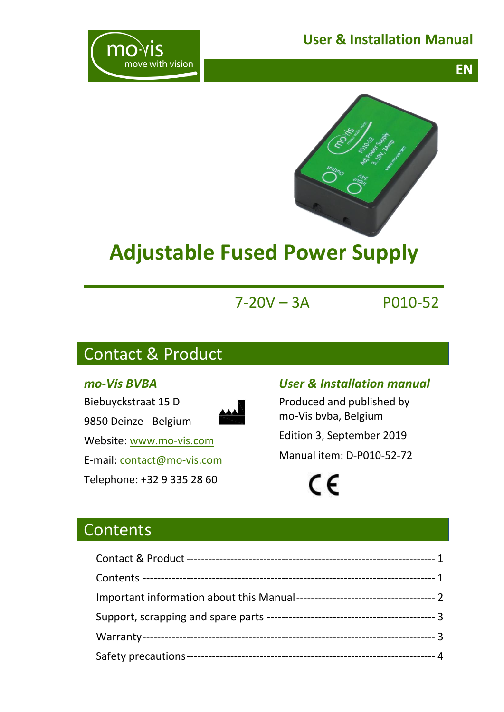## **User & Installation Manual**







# **Adjustable Fused Power Supply**

## 7-20V – 3A P010-52

## <span id="page-0-0"></span>Contact & Product

#### *mo-Vis BVBA*



#### *User & Installation manual*

Produced and published by mo-Vis bvba, Belgium

Edition 3, September 2019

Manual item: D-P010-52-72

 $\epsilon$ 

<span id="page-0-1"></span>**Contents**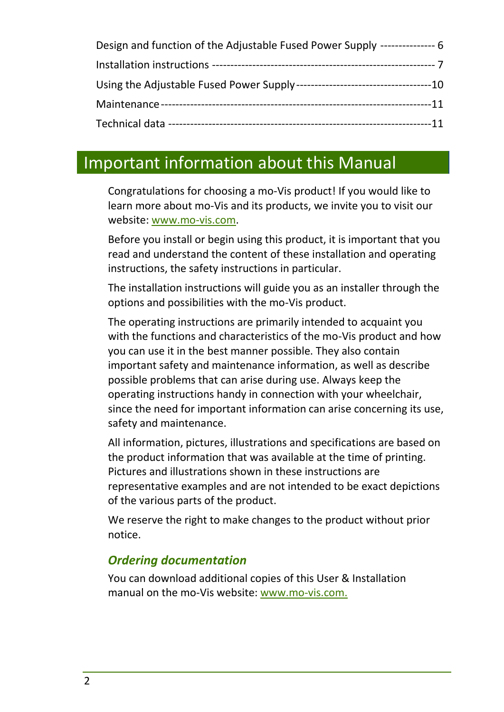| Design and function of the Adjustable Fused Power Supply ---------------- 6 |  |
|-----------------------------------------------------------------------------|--|
|                                                                             |  |
|                                                                             |  |
|                                                                             |  |
|                                                                             |  |

## <span id="page-1-0"></span>Important information about this Manual

Congratulations for choosing a mo-Vis product! If you would like to learn more about mo-Vis and its products, we invite you to visit our website: [www.mo-vis.com.](http://www.mo-vis.com/)

Before you install or begin using this product, it is important that you read and understand the content of these installation and operating instructions, the safety instructions in particular.

The installation instructions will guide you as an installer through the options and possibilities with the mo-Vis product.

The operating instructions are primarily intended to acquaint you with the functions and characteristics of the mo-Vis product and how you can use it in the best manner possible. They also contain important safety and maintenance information, as well as describe possible problems that can arise during use. Always keep the operating instructions handy in connection with your wheelchair, since the need for important information can arise concerning its use, safety and maintenance.

All information, pictures, illustrations and specifications are based on the product information that was available at the time of printing. Pictures and illustrations shown in these instructions are representative examples and are not intended to be exact depictions of the various parts of the product.

We reserve the right to make changes to the product without prior notice.

## *Ordering documentation*

You can download additional copies of this User & Installation manual on the mo-Vis website: [www.mo-vis.com.](http://www.mo-vis.com/)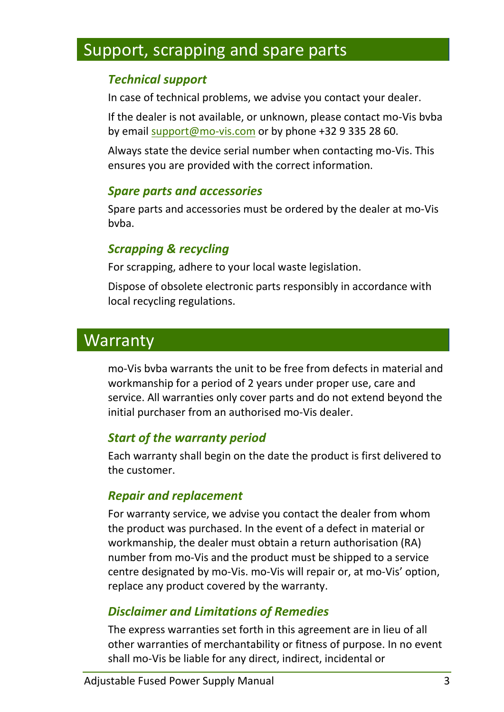## <span id="page-2-0"></span>Support, scrapping and spare parts

#### *Technical support*

In case of technical problems, we advise you contact your dealer.

If the dealer is not available, or unknown, please contact mo-Vis bvba by email [support@mo-vis.com](mailto:support@mo-vis.com) or by phone +32 9 335 28 60.

Always state the device serial number when contacting mo-Vis. This ensures you are provided with the correct information.

#### *Spare parts and accessories*

Spare parts and accessories must be ordered by the dealer at mo-Vis hyha.

### *Scrapping & recycling*

For scrapping, adhere to your local waste legislation.

Dispose of obsolete electronic parts responsibly in accordance with local recycling regulations.

## <span id="page-2-1"></span>**Warranty**

mo-Vis bvba warrants the unit to be free from defects in material and workmanship for a period of 2 years under proper use, care and service. All warranties only cover parts and do not extend beyond the initial purchaser from an authorised mo-Vis dealer.

#### *Start of the warranty period*

Each warranty shall begin on the date the product is first delivered to the customer.

#### *Repair and replacement*

For warranty service, we advise you contact the dealer from whom the product was purchased. In the event of a defect in material or workmanship, the dealer must obtain a return authorisation (RA) number from mo-Vis and the product must be shipped to a service centre designated by mo-Vis. mo-Vis will repair or, at mo-Vis' option, replace any product covered by the warranty.

## *Disclaimer and Limitations of Remedies*

The express warranties set forth in this agreement are in lieu of all other warranties of merchantability or fitness of purpose. In no event shall mo-Vis be liable for any direct, indirect, incidental or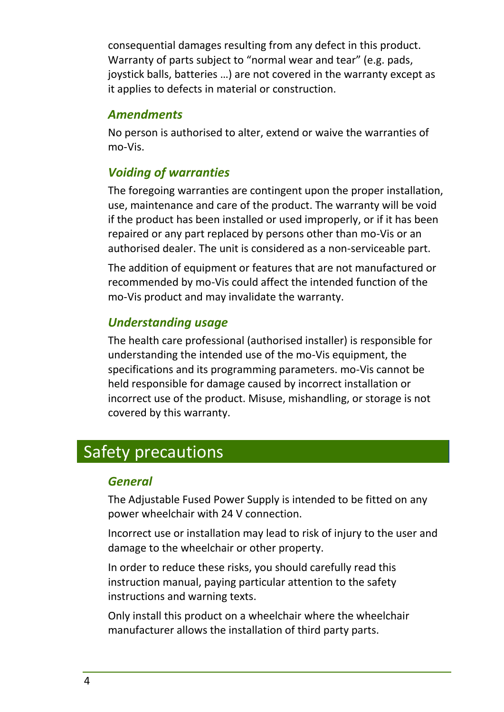consequential damages resulting from any defect in this product. Warranty of parts subject to "normal wear and tear" (e.g. pads, joystick balls, batteries …) are not covered in the warranty except as it applies to defects in material or construction.

#### *Amendments*

No person is authorised to alter, extend or waive the warranties of mo-Vis.

## *Voiding of warranties*

The foregoing warranties are contingent upon the proper installation, use, maintenance and care of the product. The warranty will be void if the product has been installed or used improperly, or if it has been repaired or any part replaced by persons other than mo-Vis or an authorised dealer. The unit is considered as a non-serviceable part.

The addition of equipment or features that are not manufactured or recommended by mo-Vis could affect the intended function of the mo-Vis product and may invalidate the warranty.

## *Understanding usage*

The health care professional (authorised installer) is responsible for understanding the intended use of the mo-Vis equipment, the specifications and its programming parameters. mo-Vis cannot be held responsible for damage caused by incorrect installation or incorrect use of the product. Misuse, mishandling, or storage is not covered by this warranty.

## <span id="page-3-0"></span>Safety precautions

## *General*

The Adjustable Fused Power Supply is intended to be fitted on any power wheelchair with 24 V connection.

Incorrect use or installation may lead to risk of injury to the user and damage to the wheelchair or other property.

In order to reduce these risks, you should carefully read this instruction manual, paying particular attention to the safety instructions and warning texts.

Only install this product on a wheelchair where the wheelchair manufacturer allows the installation of third party parts.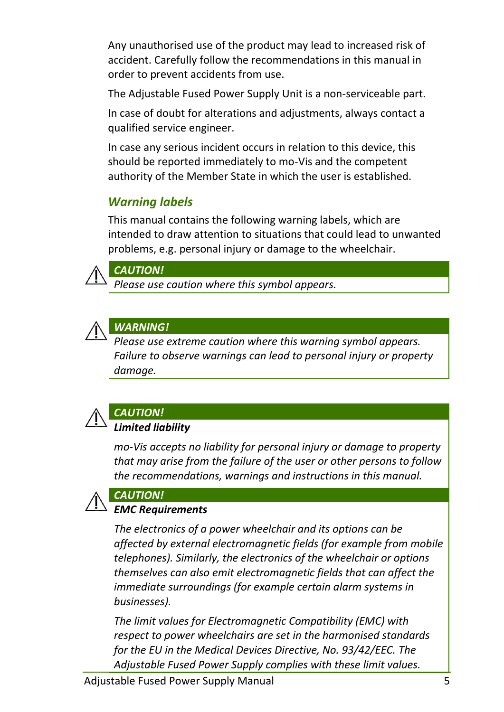Any unauthorised use of the product may lead to increased risk of accident. Carefully follow the recommendations in this manual in order to prevent accidents from use.

The Adjustable Fused Power Supply Unit is a non-serviceable part.

In case of doubt for alterations and adjustments, always contact a qualified service engineer.

In case any serious incident occurs in relation to this device, this should be reported immediately to mo-Vis and the competent authority of the Member State in which the user is established.

## *Warning labels*

This manual contains the following warning labels, which are intended to draw attention to situations that could lead to unwanted problems, e.g. personal injury or damage to the wheelchair.



#### *CAUTION!*

*Please use caution where this symbol appears.*



### *WARNING!*

*Please use extreme caution where this warning symbol appears. Failure to observe warnings can lead to personal injury or property damage.*



## *CAUTION!*

#### *Limited liability*

*mo-Vis accepts no liability for personal injury or damage to property that may arise from the failure of the user or other persons to follow the recommendations, warnings and instructions in this manual.*



## *EMC Requirements*

*CAUTION!*

*The electronics of a power wheelchair and its options can be affected by external electromagnetic fields (for example from mobile telephones). Similarly, the electronics of the wheelchair or options themselves can also emit electromagnetic fields that can affect the immediate surroundings (for example certain alarm systems in businesses).* 

*The limit values for Electromagnetic Compatibility (EMC) with respect to power wheelchairs are set in the harmonised standards for the EU in the Medical Devices Directive, No. 93/42/EEC. The Adjustable Fused Power Supply complies with these limit values.*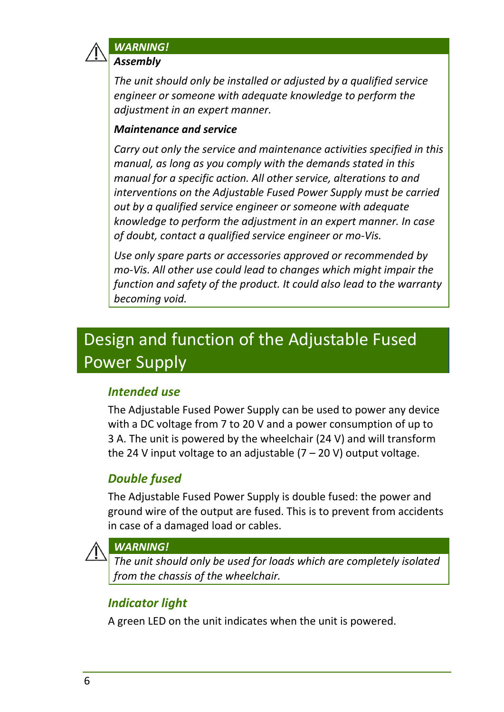

### *WARNING!*

*Assembly*

*The unit should only be installed or adjusted by a qualified service engineer or someone with adequate knowledge to perform the adjustment in an expert manner.*

#### *Maintenance and service*

*Carry out only the service and maintenance activities specified in this manual, as long as you comply with the demands stated in this manual for a specific action. All other service, alterations to and interventions on the Adjustable Fused Power Supply must be carried out by a qualified service engineer or someone with adequate knowledge to perform the adjustment in an expert manner. In case of doubt, contact a qualified service engineer or mo-Vis.*

*Use only spare parts or accessories approved or recommended by mo-Vis. All other use could lead to changes which might impair the function and safety of the product. It could also lead to the warranty becoming void.*

## <span id="page-5-0"></span>Design and function of the Adjustable Fused Power Supply

## *Intended use*

The Adjustable Fused Power Supply can be used to power any device with a DC voltage from 7 to 20 V and a power consumption of up to 3 A. The unit is powered by the wheelchair (24 V) and will transform the 24 V input voltage to an adjustable  $(7 - 20 V)$  output voltage.

## *Double fused*

The Adjustable Fused Power Supply is double fused: the power and ground wire of the output are fused. This is to prevent from accidents in case of a damaged load or cables.



#### *WARNING!*

*The unit should only be used for loads which are completely isolated from the chassis of the wheelchair.*

## *Indicator light*

A green LED on the unit indicates when the unit is powered.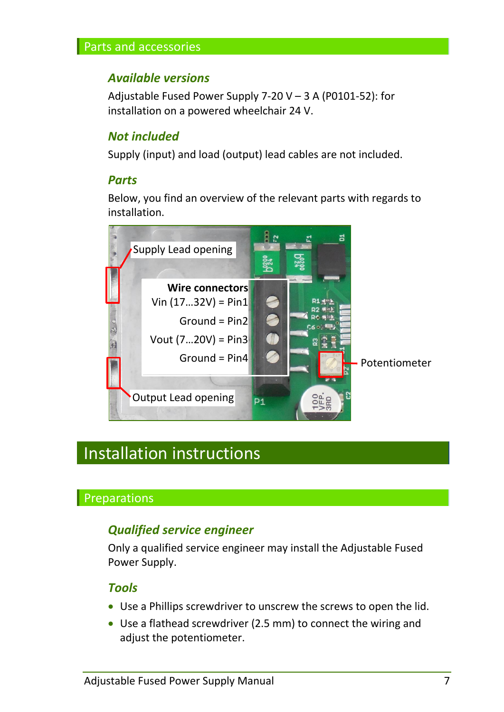#### Parts and accessories

#### *Available versions*

Adjustable Fused Power Supply 7-20  $V - 3$  A (P0101-52): for installation on a powered wheelchair 24 V.

#### *Not included*

Supply (input) and load (output) lead cables are not included.

#### *Parts*

Below, you find an overview of the relevant parts with regards to installation.



## <span id="page-6-0"></span>Installation instructions

#### Preparations

#### *Qualified service engineer*

Only a qualified service engineer may install the Adjustable Fused Power Supply.

#### *Tools*

- Use a Phillips screwdriver to unscrew the screws to open the lid.
- Use a flathead screwdriver (2.5 mm) to connect the wiring and adjust the potentiometer.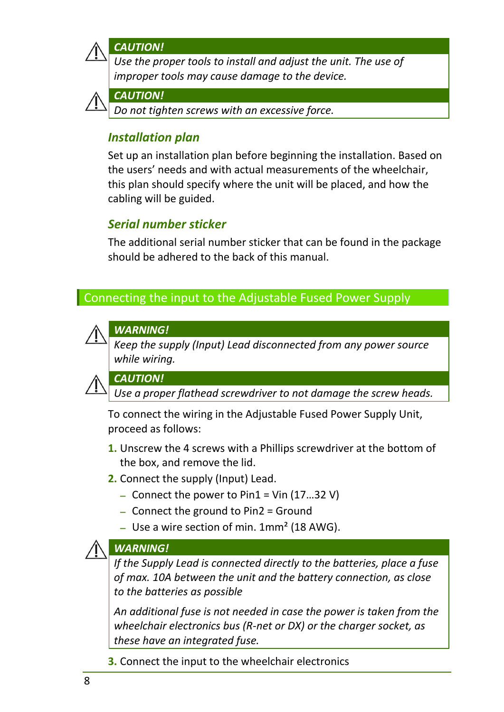

*CAUTION!*

*Use the proper tools to install and adjust the unit. The use of improper tools may cause damage to the device.*



#### *CAUTION!*

*Do not tighten screws with an excessive force.*

#### *Installation plan*

Set up an installation plan before beginning the installation. Based on the users' needs and with actual measurements of the wheelchair, this plan should specify where the unit will be placed, and how the cabling will be guided.

## *Serial number sticker*

The additional serial number sticker that can be found in the package should be adhered to the back of this manual.

#### Connecting the input to the Adjustable Fused Power Supply



#### *WARNING!*

*Keep the supply (Input) Lead disconnected from any power source while wiring.*



*CAUTION!*

*Use a proper flathead screwdriver to not damage the screw heads.*

To connect the wiring in the Adjustable Fused Power Supply Unit, proceed as follows:

- **1.** Unscrew the 4 screws with a Phillips screwdriver at the bottom of the box, and remove the lid.
- **2.** Connect the supply (Input) Lead.
	- Connect the power to Pin1 = Vin (17...32 V)
	- Connect the ground to Pin2 = Ground
	- Use a wire section of min.  $1mm<sup>2</sup>$  (18 AWG).

#### *WARNING!*

*If the Supply Lead is connected directly to the batteries, place a fuse of max. 10A between the unit and the battery connection, as close to the batteries as possible*

*An additional fuse is not needed in case the power is taken from the wheelchair electronics bus (R-net or DX) or the charger socket, as these have an integrated fuse.*

**3.** Connect the input to the wheelchair electronics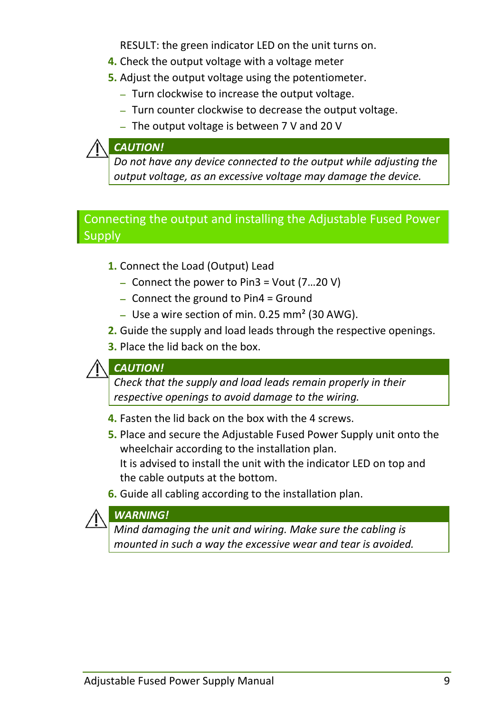RESULT: the green indicator LED on the unit turns on.

- **4.** Check the output voltage with a voltage meter
- **5.** Adjust the output voltage using the potentiometer.
	- Turn clockwise to increase the output voltage.
	- Turn counter clockwise to decrease the output voltage.
	- $-$  The output voltage is between 7 V and 20 V

#### *CAUTION!*

*Do not have any device connected to the output while adjusting the output voltage, as an excessive voltage may damage the device.*

### Connecting the output and installing the Adjustable Fused Power **Supply**

- **1.** Connect the Load (Output) Lead
	- $-$  Connect the power to Pin3 = Vout  $(7...20$  V)
	- Connect the ground to Pin4 = Ground
	- Use a wire section of min. 0.25 mm<sup>2</sup> (30 AWG).
- **2.** Guide the supply and load leads through the respective openings.
- **3.** Place the lid back on the box.

#### *CAUTION!*

*Check that the supply and load leads remain properly in their respective openings to avoid damage to the wiring.*

- **4.** Fasten the lid back on the box with the 4 screws.
- **5.** Place and secure the Adjustable Fused Power Supply unit onto the wheelchair according to the installation plan. It is advised to install the unit with the indicator LED on top and the cable outputs at the bottom.
- **6.** Guide all cabling according to the installation plan.

#### *WARNING!*

*Mind damaging the unit and wiring. Make sure the cabling is mounted in such a way the excessive wear and tear is avoided.*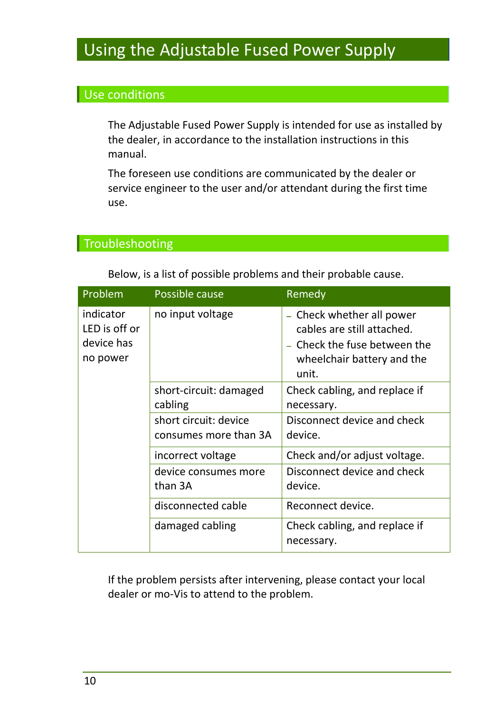## <span id="page-9-0"></span>Using the Adjustable Fused Power Supply

## Use conditions

The Adjustable Fused Power Supply is intended for use as installed by the dealer, in accordance to the installation instructions in this manual.

The foreseen use conditions are communicated by the dealer or service engineer to the user and/or attendant during the first time use.

## **Troubleshooting**

Below, is a list of possible problems and their probable cause.

| Problem                                              | Possible cause                                 | Remedy                                                                                                                       |
|------------------------------------------------------|------------------------------------------------|------------------------------------------------------------------------------------------------------------------------------|
| indicator<br>LED is off or<br>device has<br>no power | no input voltage                               | Check whether all power<br>cables are still attached.<br>- Check the fuse between the<br>wheelchair battery and the<br>unit. |
|                                                      | short-circuit: damaged<br>cabling              | Check cabling, and replace if<br>necessary.                                                                                  |
|                                                      | short circuit: device<br>consumes more than 3A | Disconnect device and check<br>device.                                                                                       |
|                                                      | incorrect voltage                              | Check and/or adjust voltage.                                                                                                 |
|                                                      | device consumes more<br>than 3A                | Disconnect device and check<br>device.                                                                                       |
|                                                      | disconnected cable                             | Reconnect device.                                                                                                            |
|                                                      | damaged cabling                                | Check cabling, and replace if<br>necessary.                                                                                  |

If the problem persists after intervening, please contact your local dealer or mo-Vis to attend to the problem.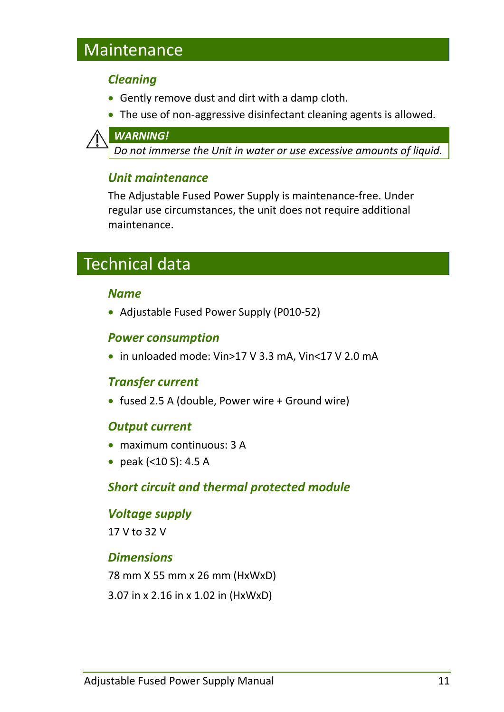## <span id="page-10-0"></span>Maintenance

#### *Cleaning*

- Gently remove dust and dirt with a damp cloth.
- The use of non-aggressive disinfectant cleaning agents is allowed.



*Do not immerse the Unit in water or use excessive amounts of liquid.*

## *Unit maintenance*

The Adjustable Fused Power Supply is maintenance-free. Under regular use circumstances, the unit does not require additional maintenance.

## <span id="page-10-1"></span>Technical data

#### *Name*

• Adjustable Fused Power Supply (P010-52)

#### *Power consumption*

in unloaded mode: Vin>17 V 3.3 mA, Vin<17 V 2.0 mA

#### *Transfer current*

• fused 2.5 A (double, Power wire + Ground wire)

#### *Output current*

- maximum continuous: 3 A
- peak (<10 S): 4.5 A

#### *Short circuit and thermal protected module*

# *Voltage supply*

17 V to 32 V

#### *Dimensions*

78 mm X 55 mm x 26 mm (HxWxD) 3.07 in x 2.16 in x 1.02 in (HxWxD)